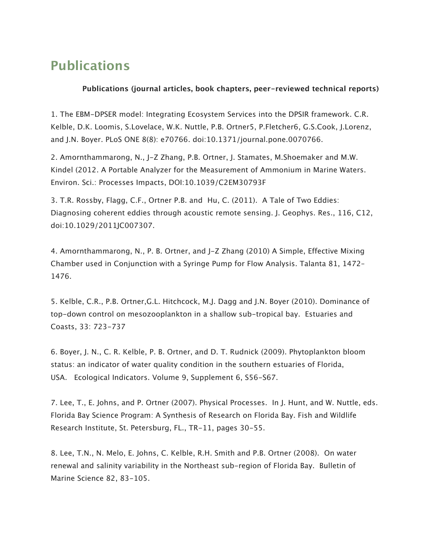## **Publications**

## **Publications (journal articles, book chapters, peer-reviewed technical reports)**

1. The EBM-DPSER model: Integrating Ecosystem Services into the DPSIR framework. C.R. Kelble, D.K. Loomis, S.Lovelace, W.K. Nuttle, P.B. Ortner5, P.Fletcher6, G.S.Cook, J.Lorenz, and J.N. Boyer. PLoS ONE 8(8): e70766. doi:10.1371/journal.pone.0070766.

2. Amornthammarong, N., J-Z Zhang, P.B. Ortner, J. Stamates, M.Shoemaker and M.W. Kindel (2012. A Portable Analyzer for the Measurement of Ammonium in Marine Waters. Environ. Sci.: Processes Impacts, DOI:10.1039/C2EM30793F

3. T.R. Rossby, Flagg, C.F., Ortner P.B. and Hu, C. (2011). A Tale of Two Eddies: Diagnosing coherent eddies through acoustic remote sensing. J. Geophys. Res., 116, C12, doi:10.1029/2011JC007307.

4. Amornthammarong, N., P. B. Ortner, and J-Z Zhang (2010) A Simple, Effective Mixing Chamber used in Conjunction with a Syringe Pump for Flow Analysis. Talanta 81, 1472– 1476.

5. Kelble, C.R., P.B. Ortner,G.L. Hitchcock, M.J. Dagg and J.N. Boyer (2010). Dominance of top-down control on mesozooplankton in a shallow sub-tropical bay. Estuaries and Coasts, 33: 723-737

6. Boyer, J. N., C. R. Kelble, P. B. Ortner, and D. T. Rudnick (2009). Phytoplankton bloom status: an indicator of water quality condition in the southern estuaries of Florida, USA. Ecological Indicators. Volume 9, Supplement 6, S56-S67.

7. Lee, T., E. Johns, and P. Ortner (2007). Physical Processes. In J. Hunt, and W. Nuttle, eds. Florida Bay Science Program: A Synthesis of Research on Florida Bay. Fish and Wildlife Research Institute, St. Petersburg, FL., TR-11, pages 30-55.

8. Lee, T.N., N. Melo, E. Johns, C. Kelble, R.H. Smith and P.B. Ortner (2008). On water renewal and salinity variability in the Northeast sub-region of Florida Bay. Bulletin of Marine Science 82, 83-105.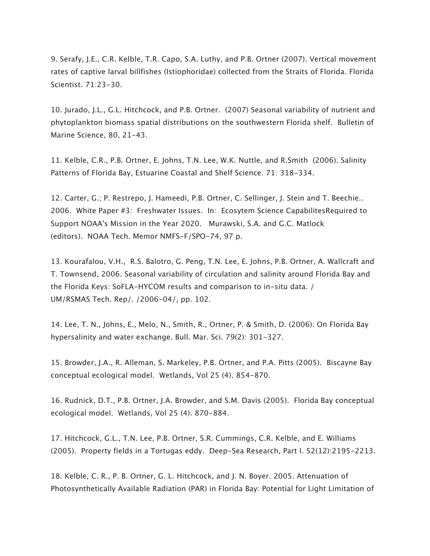9. Serafy, J.E., C.R. Kelble, T.R. Capo, S.A. Luthy, and P.B. Ortner (2007). Vertical movement rates of captive larval billfishes (Istiophoridae) collected from the Straits of Florida. Florida Scientist. 71:23-30.

10. Jurado, J.L., G.L. Hitchcock, and P.B. Ortner. (2007) Seasonal variability of nutrient and phytoplankton biomass spatial distributions on the southwestern Florida shelf. Bulletin of Marine Science, 80, 21-43.

11. Kelble, C.R., P.B. Ortner, E. Johns, T.N. Lee, W.K. Nuttle, and R.Smith (2006). Salinity Patterns of Florida Bay, Estuarine Coastal and Shelf Science. 71: 318-334.

12. Carter, G.; P. Restrepo, J. Hameedi, P.B. Ortner, C. Sellinger, J. Stein and T. Beechie.. 2006. White Paper #3: Freshwater Issues. In: Ecosytem Science CapabilitesRequired to Support NOAA's Mission in the Year 2020. Murawski, S.A. and G.C. Matlock (editors). NOAA Tech. Memor NMFS-F/SPO-74, 97 p.

13. Kourafalou, V.H., R.S. Balotro, G. Peng, T.N. Lee, E. Johns, P.B. Ortner, A. Wallcraft and T. Townsend, 2006. Seasonal variability of circulation and salinity around Florida Bay and the Florida Keys: SoFLA-HYCOM results and comparison to in-situ data. / UM/RSMAS Tech. Rep/. /2006-04/, pp. 102.

14. Lee, T. N., Johns, E., Melo, N., Smith, R., Ortner, P. & Smith, D. (2006). On Florida Bay hypersalinity and water exchange. Bull. Mar. Sci. 79(2): 301-327.

15. Browder, J.A., R. Alleman, S. Markeley, P.B. Ortner, and P.A. Pitts (2005). Biscayne Bay conceptual ecological model. Wetlands, Vol 25 (4). 854-870.

16. Rudnick, D.T., P.B. Ortner, J.A. Browder, and S.M. Davis (2005). Florida Bay conceptual ecological model. Wetlands, Vol 25 (4). 870-884.

17. Hitchcock, G.L., T.N. Lee, P.B. Ortner, S.R. Cummings, C.R. Kelble, and E. Williams (2005). Property fields in a Tortugas eddy. Deep-Sea Research, Part I. 52(12):2195-2213.

18. Kelble, C. R., P. B. Ortner, G. L. Hitchcock, and J. N. Boyer. 2005. Attenuation of Photosynthetically Available Radiation (PAR) in Florida Bay: Potential for Light Limitation of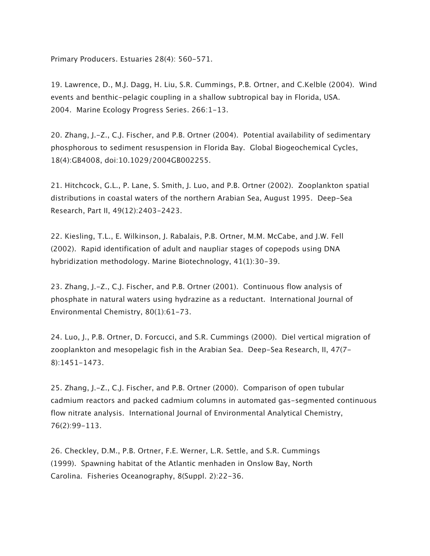Primary Producers. Estuaries 28(4): 560-571.

19. Lawrence, D., M.J. Dagg, H. Liu, S.R. Cummings, P.B. Ortner, and C.Kelble (2004). Wind events and benthic-pelagic coupling in a shallow subtropical bay in Florida, USA. 2004. Marine Ecology Progress Series. 266:1-13.

20. Zhang, J.-Z., C.J. Fischer, and P.B. Ortner (2004). Potential availability of sedimentary phosphorous to sediment resuspension in Florida Bay. Global Biogeochemical Cycles, 18(4):GB4008, doi:10.1029/2004GB002255.

21. Hitchcock, G.L., P. Lane, S. Smith, J. Luo, and P.B. Ortner (2002). Zooplankton spatial distributions in coastal waters of the northern Arabian Sea, August 1995. Deep-Sea Research, Part II, 49(12):2403-2423.

22. Kiesling, T.L., E. Wilkinson, J. Rabalais, P.B. Ortner, M.M. McCabe, and J.W. Fell (2002). Rapid identification of adult and naupliar stages of copepods using DNA hybridization methodology. Marine Biotechnology, 41(1):30-39.

23. Zhang, J.-Z., C.J. Fischer, and P.B. Ortner (2001). Continuous flow analysis of phosphate in natural waters using hydrazine as a reductant. International Journal of Environmental Chemistry, 80(1):61-73.

24. Luo, J., P.B. Ortner, D. Forcucci, and S.R. Cummings (2000). Diel vertical migration of zooplankton and mesopelagic fish in the Arabian Sea. Deep-Sea Research, II, 47(7- 8):1451-1473.

25. Zhang, J.-Z., C.J. Fischer, and P.B. Ortner (2000). Comparison of open tubular cadmium reactors and packed cadmium columns in automated gas-segmented continuous flow nitrate analysis. International Journal of Environmental Analytical Chemistry, 76(2):99-113.

26. Checkley, D.M., P.B. Ortner, F.E. Werner, L.R. Settle, and S.R. Cummings (1999). Spawning habitat of the Atlantic menhaden in Onslow Bay, North Carolina. Fisheries Oceanography, 8(Suppl. 2):22-36.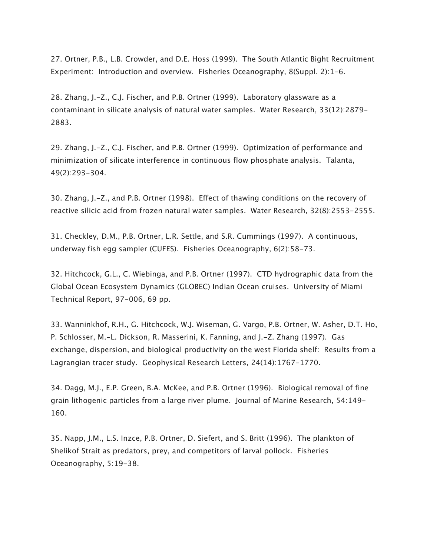27. Ortner, P.B., L.B. Crowder, and D.E. Hoss (1999). The South Atlantic Bight Recruitment Experiment: Introduction and overview. Fisheries Oceanography, 8(Suppl. 2):1-6.

28. Zhang, J.-Z., C.J. Fischer, and P.B. Ortner (1999). Laboratory glassware as a contaminant in silicate analysis of natural water samples. Water Research, 33(12):2879- 2883.

29. Zhang, J.-Z., C.J. Fischer, and P.B. Ortner (1999). Optimization of performance and minimization of silicate interference in continuous flow phosphate analysis. Talanta, 49(2):293-304.

30. Zhang, J.-Z., and P.B. Ortner (1998). Effect of thawing conditions on the recovery of reactive silicic acid from frozen natural water samples. Water Research, 32(8):2553-2555.

31. Checkley, D.M., P.B. Ortner, L.R. Settle, and S.R. Cummings (1997). A continuous, underway fish egg sampler (CUFES). Fisheries Oceanography, 6(2):58-73.

32. Hitchcock, G.L., C. Wiebinga, and P.B. Ortner (1997). CTD hydrographic data from the Global Ocean Ecosystem Dynamics (GLOBEC) Indian Ocean cruises. University of Miami Technical Report, 97-006, 69 pp.

33. Wanninkhof, R.H., G. Hitchcock, W.J. Wiseman, G. Vargo, P.B. Ortner, W. Asher, D.T. Ho, P. Schlosser, M.-L. Dickson, R. Masserini, K. Fanning, and J.-Z. Zhang (1997). Gas exchange, dispersion, and biological productivity on the west Florida shelf: Results from a Lagrangian tracer study. Geophysical Research Letters, 24(14):1767-1770.

34. Dagg, M.J., E.P. Green, B.A. McKee, and P.B. Ortner (1996). Biological removal of fine grain lithogenic particles from a large river plume. Journal of Marine Research, 54:149- 160.

35. Napp, J.M., L.S. Inzce, P.B. Ortner, D. Siefert, and S. Britt (1996). The plankton of Shelikof Strait as predators, prey, and competitors of larval pollock. Fisheries Oceanography, 5:19-38.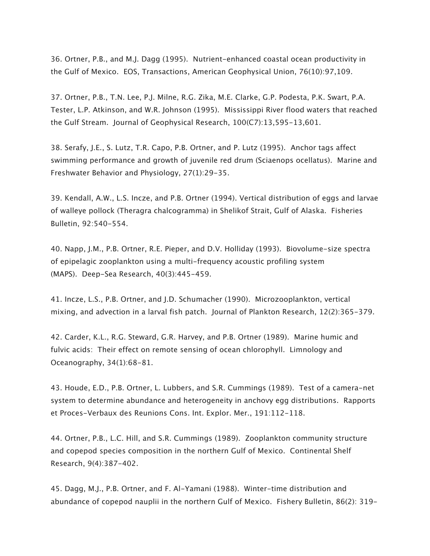36. Ortner, P.B., and M.J. Dagg (1995). Nutrient-enhanced coastal ocean productivity in the Gulf of Mexico. EOS, Transactions, American Geophysical Union, 76(10):97,109.

37. Ortner, P.B., T.N. Lee, P.J. Milne, R.G. Zika, M.E. Clarke, G.P. Podesta, P.K. Swart, P.A. Tester, L.P. Atkinson, and W.R. Johnson (1995). Mississippi River flood waters that reached the Gulf Stream. Journal of Geophysical Research, 100(C7):13,595-13,601.

38. Serafy, J.E., S. Lutz, T.R. Capo, P.B. Ortner, and P. Lutz (1995). Anchor tags affect swimming performance and growth of juvenile red drum (Sciaenops ocellatus). Marine and Freshwater Behavior and Physiology, 27(1):29-35.

39. Kendall, A.W., L.S. Incze, and P.B. Ortner (1994). Vertical distribution of eggs and larvae of walleye pollock (Theragra chalcogramma) in Shelikof Strait, Gulf of Alaska. Fisheries Bulletin, 92:540-554.

40. Napp, J.M., P.B. Ortner, R.E. Pieper, and D.V. Holliday (1993). Biovolume-size spectra of epipelagic zooplankton using a multi-frequency acoustic profiling system (MAPS). Deep-Sea Research, 40(3):445-459.

41. Incze, L.S., P.B. Ortner, and J.D. Schumacher (1990). Microzooplankton, vertical mixing, and advection in a larval fish patch. Journal of Plankton Research, 12(2):365-379.

42. Carder, K.L., R.G. Steward, G.R. Harvey, and P.B. Ortner (1989). Marine humic and fulvic acids: Their effect on remote sensing of ocean chlorophyll. Limnology and Oceanography, 34(1):68-81.

43. Houde, E.D., P.B. Ortner, L. Lubbers, and S.R. Cummings (1989). Test of a camera-net system to determine abundance and heterogeneity in anchovy egg distributions. Rapports et Proces-Verbaux des Reunions Cons. Int. Explor. Mer., 191:112-118.

44. Ortner, P.B., L.C. Hill, and S.R. Cummings (1989). Zooplankton community structure and copepod species composition in the northern Gulf of Mexico. Continental Shelf Research, 9(4):387-402.

45. Dagg, M.J., P.B. Ortner, and F. Al-Yamani (1988). Winter-time distribution and abundance of copepod nauplii in the northern Gulf of Mexico. Fishery Bulletin, 86(2): 319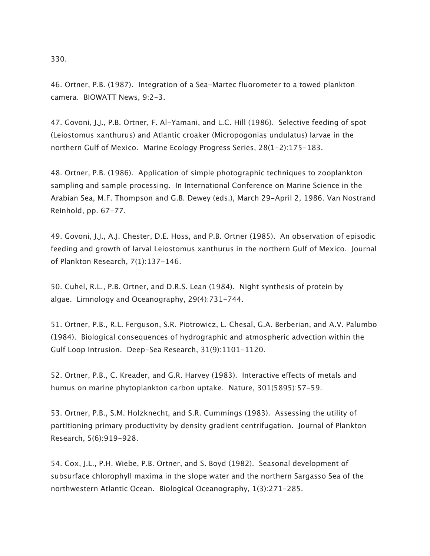330.

46. Ortner, P.B. (1987). Integration of a Sea-Martec fluorometer to a towed plankton camera. BIOWATT News, 9:2-3.

47. Govoni, J.J., P.B. Ortner, F. Al-Yamani, and L.C. Hill (1986). Selective feeding of spot (Leiostomus xanthurus) and Atlantic croaker (Micropogonias undulatus) larvae in the northern Gulf of Mexico. Marine Ecology Progress Series, 28(1-2):175-183.

48. Ortner, P.B. (1986). Application of simple photographic techniques to zooplankton sampling and sample processing. In International Conference on Marine Science in the Arabian Sea, M.F. Thompson and G.B. Dewey (eds.), March 29-April 2, 1986. Van Nostrand Reinhold, pp. 67-77.

49. Govoni, J.J., A.J. Chester, D.E. Hoss, and P.B. Ortner (1985). An observation of episodic feeding and growth of larval Leiostomus xanthurus in the northern Gulf of Mexico. Journal of Plankton Research, 7(1):137-146.

50. Cuhel, R.L., P.B. Ortner, and D.R.S. Lean (1984). Night synthesis of protein by algae. Limnology and Oceanography, 29(4):731-744.

51. Ortner, P.B., R.L. Ferguson, S.R. Piotrowicz, L. Chesal, G.A. Berberian, and A.V. Palumbo (1984). Biological consequences of hydrographic and atmospheric advection within the Gulf Loop Intrusion. Deep-Sea Research, 31(9):1101-1120.

52. Ortner, P.B., C. Kreader, and G.R. Harvey (1983). Interactive effects of metals and humus on marine phytoplankton carbon uptake. Nature, 301(5895):57-59.

53. Ortner, P.B., S.M. Holzknecht, and S.R. Cummings (1983). Assessing the utility of partitioning primary productivity by density gradient centrifugation. Journal of Plankton Research, 5(6):919-928.

54. Cox, J.L., P.H. Wiebe, P.B. Ortner, and S. Boyd (1982). Seasonal development of subsurface chlorophyll maxima in the slope water and the northern Sargasso Sea of the northwestern Atlantic Ocean. Biological Oceanography, 1(3):271-285.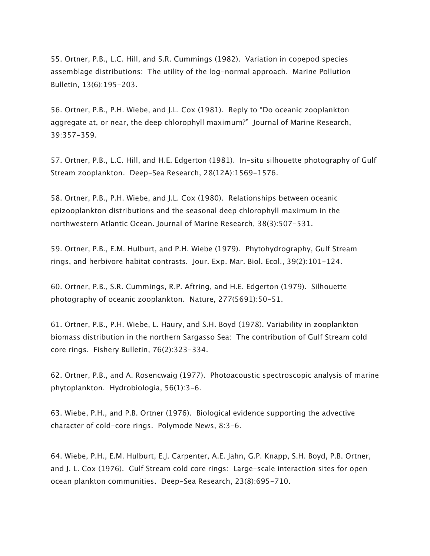55. Ortner, P.B., L.C. Hill, and S.R. Cummings (1982). Variation in copepod species assemblage distributions: The utility of the log-normal approach. Marine Pollution Bulletin, 13(6):195-203.

56. Ortner, P.B., P.H. Wiebe, and J.L. Cox (1981). Reply to "Do oceanic zooplankton aggregate at, or near, the deep chlorophyll maximum?" Journal of Marine Research, 39:357-359.

57. Ortner, P.B., L.C. Hill, and H.E. Edgerton (1981). In-situ silhouette photography of Gulf Stream zooplankton. Deep-Sea Research, 28(12A):1569-1576.

58. Ortner, P.B., P.H. Wiebe, and J.L. Cox (1980). Relationships between oceanic epizooplankton distributions and the seasonal deep chlorophyll maximum in the northwestern Atlantic Ocean. Journal of Marine Research, 38(3):507-531.

59. Ortner, P.B., E.M. Hulburt, and P.H. Wiebe (1979). Phytohydrography, Gulf Stream rings, and herbivore habitat contrasts. Jour. Exp. Mar. Biol. Ecol., 39(2):101-124.

60. Ortner, P.B., S.R. Cummings, R.P. Aftring, and H.E. Edgerton (1979). Silhouette photography of oceanic zooplankton. Nature, 277(5691):50-51.

61. Ortner, P.B., P.H. Wiebe, L. Haury, and S.H. Boyd (1978). Variability in zooplankton biomass distribution in the northern Sargasso Sea: The contribution of Gulf Stream cold core rings. Fishery Bulletin, 76(2):323-334.

62. Ortner, P.B., and A. Rosencwaig (1977). Photoacoustic spectroscopic analysis of marine phytoplankton. Hydrobiologia, 56(1):3-6.

63. Wiebe, P.H., and P.B. Ortner (1976). Biological evidence supporting the advective character of cold-core rings. Polymode News, 8:3-6.

64. Wiebe, P.H., E.M. Hulburt, E.J. Carpenter, A.E. Jahn, G.P. Knapp, S.H. Boyd, P.B. Ortner, and J. L. Cox (1976). Gulf Stream cold core rings: Large-scale interaction sites for open ocean plankton communities. Deep-Sea Research, 23(8):695-710.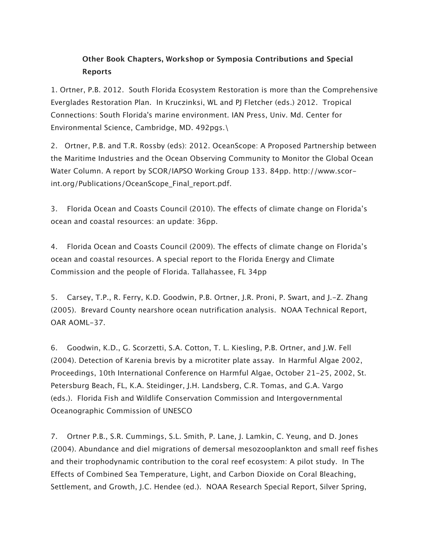## **Other Book Chapters, Workshop or Symposia Contributions and Special Reports**

1. Ortner, P.B. 2012. South Florida Ecosystem Restoration is more than the Comprehensive Everglades Restoration Plan. In Kruczinksi, WL and PJ Fletcher (eds.) 2012. Tropical Connections: South Florida's marine environment. IAN Press, Univ. Md. Center for Environmental Science, Cambridge, MD. 492pgs.\

2. Ortner, P.B. and T.R. Rossby (eds): 2012. OceanScope: A Proposed Partnership between the Maritime Industries and the Ocean Observing Community to Monitor the Global Ocean Water Column. A report by SCOR/IAPSO Working Group 133. 84pp. http://www.scorint.org/Publications/OceanScope\_Final\_report.pdf.

3. Florida Ocean and Coasts Council (2010). The effects of climate change on Florida's ocean and coastal resources: an update: 36pp.

4. Florida Ocean and Coasts Council (2009). The effects of climate change on Florida's ocean and coastal resources. A special report to the Florida Energy and Climate Commission and the people of Florida. Tallahassee, FL 34pp

5. Carsey, T.P., R. Ferry, K.D. Goodwin, P.B. Ortner, J.R. Proni, P. Swart, and J.-Z. Zhang (2005). Brevard County nearshore ocean nutrification analysis. NOAA Technical Report, OAR AOML-37.

6. Goodwin, K.D., G. Scorzetti, S.A. Cotton, T. L. Kiesling, P.B. Ortner, and J.W. Fell (2004). Detection of Karenia brevis by a microtiter plate assay. In Harmful Algae 2002, Proceedings, 10th International Conference on Harmful Algae, October 21-25, 2002, St. Petersburg Beach, FL, K.A. Steidinger, J.H. Landsberg, C.R. Tomas, and G.A. Vargo (eds.). Florida Fish and Wildlife Conservation Commission and Intergovernmental Oceanographic Commission of UNESCO

7. Ortner P.B., S.R. Cummings, S.L. Smith, P. Lane, J. Lamkin, C. Yeung, and D. Jones (2004). Abundance and diel migrations of demersal mesozooplankton and small reef fishes and their trophodynamic contribution to the coral reef ecosystem: A pilot study. In The Effects of Combined Sea Temperature, Light, and Carbon Dioxide on Coral Bleaching, Settlement, and Growth, J.C. Hendee (ed.). NOAA Research Special Report, Silver Spring,